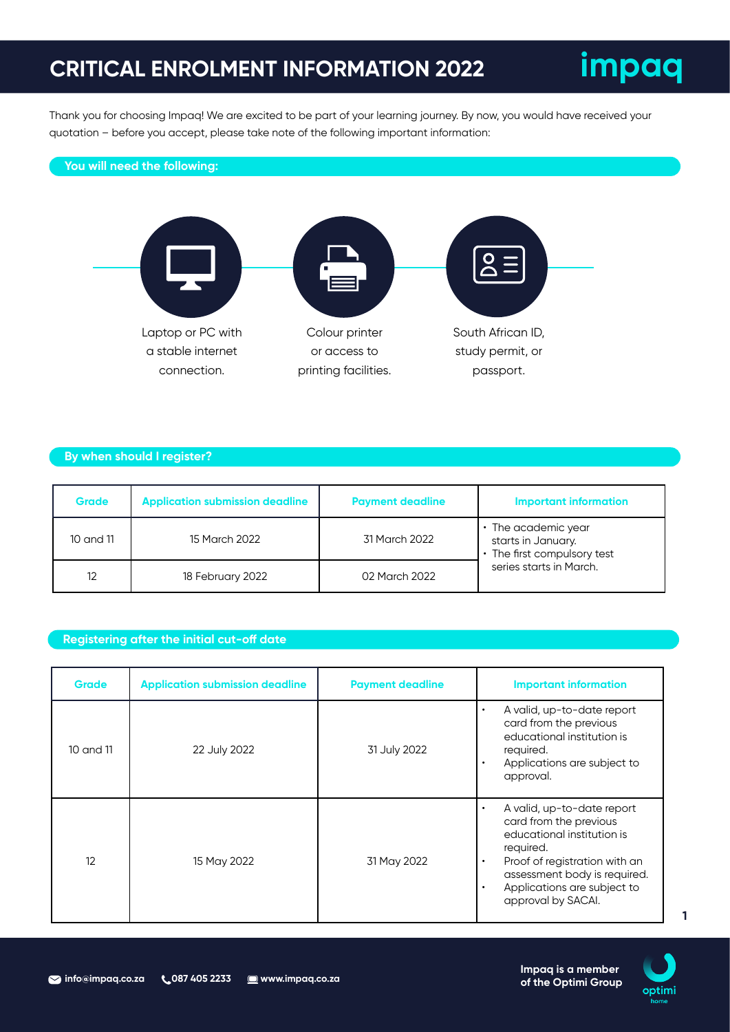### **CRITICAL ENROLMENT INFORMATION 2022**



Thank you for choosing Impaq! We are excited to be part of your learning journey. By now, you would have received your quotation – before you accept, please take note of the following important information:

#### **You will need the following:**



### **By when should I register?**

| <b>Grade</b> | <b>Application submission deadline</b> | <b>Payment deadline</b> | <b>Important information</b>                                                                        |  |
|--------------|----------------------------------------|-------------------------|-----------------------------------------------------------------------------------------------------|--|
| 10 and 11    | 15 March 2022                          | 31 March 2022           | • The academic year<br>starts in January.<br>• The first compulsory test<br>series starts in March. |  |
| 12           | 18 February 2022                       | 02 March 2022           |                                                                                                     |  |

#### **Registering after the initial cut-off date**

| Grade     | <b>Application submission deadline</b> | <b>Payment deadline</b> | <b>Important information</b>                                                                                                                                                                                                                                 |
|-----------|----------------------------------------|-------------------------|--------------------------------------------------------------------------------------------------------------------------------------------------------------------------------------------------------------------------------------------------------------|
| 10 and 11 | 22 July 2022                           | 31 July 2022            | A valid, up-to-date report<br>$\bullet$<br>card from the previous<br>educational institution is<br>required.<br>Applications are subject to<br>$\bullet$<br>approval.                                                                                        |
| 12        | 15 May 2022                            | 31 May 2022             | A valid, up-to-date report<br>$\bullet$<br>card from the previous<br>educational institution is<br>required.<br>Proof of registration with an<br>$\bullet$<br>assessment body is required.<br>Applications are subject to<br>$\bullet$<br>approval by SACAI. |



**1**

**of the Optimi Group**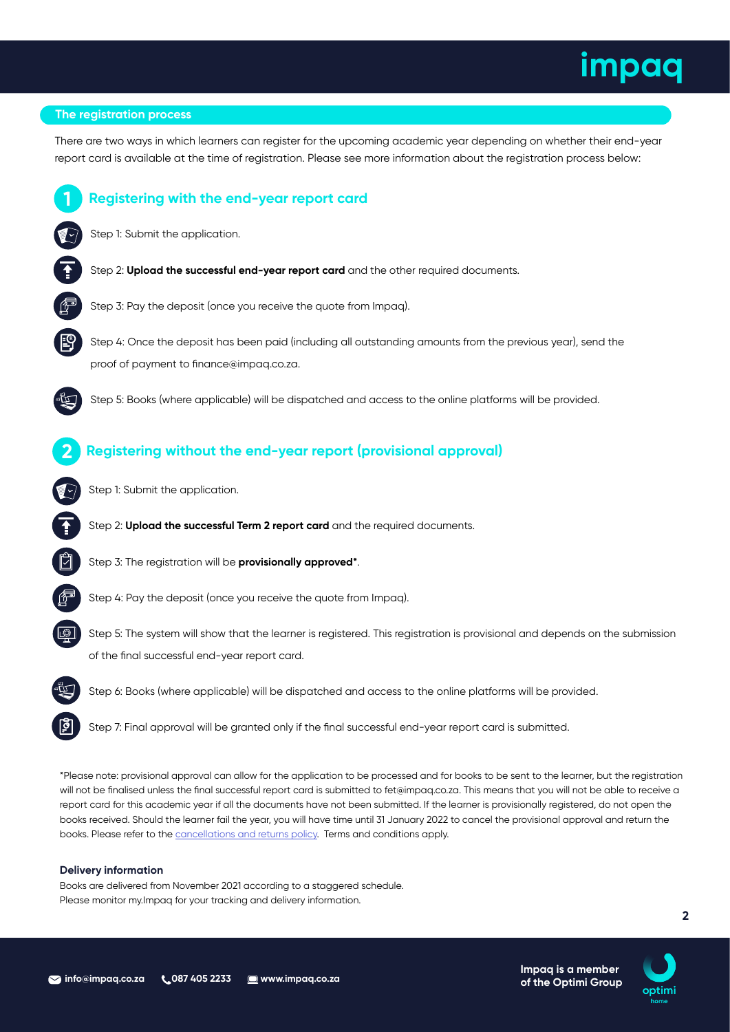#### **The registration process**

**1**

Step 1: Submit the application.

**Registering with the end-year report card**

There are two ways in which learners can register for the upcoming academic year depending on whether their end-year report card is available at the time of registration. Please see more information about the registration process below:



\*Please note: provisional approval can allow for the application to be processed and for books to be sent to the learner, but the registration will not be finalised unless the final successful report card is submitted to fet@impaq.co.za. This means that you will not be able to receive a report card for this academic year if all the documents have not been submitted. If the learner is provisionally registered, do not open the books received. Should the learner fail the year, you will have time until 31 January 2022 to cancel the provisional approval and return the books. Please refer to the cancellations and returns policy. Terms and conditions apply.

#### **Delivery information**

Books are delivered from November 2021 according to a staggered schedule. Please monitor my.Impaq for your tracking and delivery information.



**2**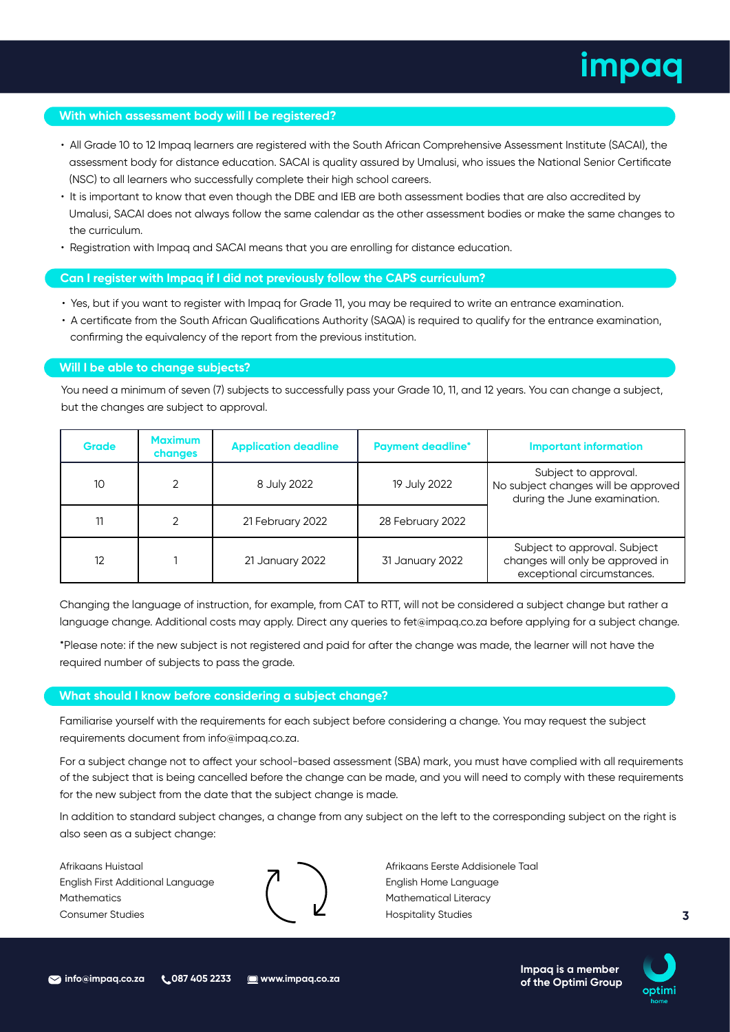#### **With which assessment body will I be registered?**

- All Grade 10 to 12 Impaq learners are registered with the South African Comprehensive Assessment Institute (SACAI), the assessment body for distance education. SACAI is quality assured by Umalusi, who issues the National Senior Certificate (NSC) to all learners who successfully complete their high school careers.
- It is important to know that even though the DBE and IEB are both assessment bodies that are also accredited by Umalusi, SACAI does not always follow the same calendar as the other assessment bodies or make the same changes to the curriculum.
- Registration with Impaq and SACAI means that you are enrolling for distance education.

#### **Can I register with Impaq if I did not previously follow the CAPS curriculum?**

- Yes, but if you want to register with Impaq for Grade 11, you may be required to write an entrance examination.
- A certificate from the South African Qualifications Authority (SAQA) is required to qualify for the entrance examination, confirming the equivalency of the report from the previous institution.

#### **Will I be able to change subjects?**

You need a minimum of seven (7) subjects to successfully pass your Grade 10, 11, and 12 years. You can change a subject, but the changes are subject to approval.

| <b>Grade</b> | <b>Maximum</b><br>changes | <b>Application deadline</b> | <b>Payment deadline*</b> | <b>Important information</b>                                                                   |
|--------------|---------------------------|-----------------------------|--------------------------|------------------------------------------------------------------------------------------------|
| 10           | 2                         | 8 July 2022                 | 19 July 2022             | Subject to approval.<br>No subject changes will be approved<br>during the June examination.    |
| 11           | $\mathcal{P}$             | 21 February 2022            | 28 February 2022         |                                                                                                |
| 12           |                           | 21 January 2022             | 31 January 2022          | Subject to approval. Subject<br>changes will only be approved in<br>exceptional circumstances. |

Changing the language of instruction, for example, from CAT to RTT, will not be considered a subject change but rather a language change. Additional costs may apply. Direct any queries to fet@impaq.co.za before applying for a subject change.

\*Please note: if the new subject is not registered and paid for after the change was made, the learner will not have the required number of subjects to pass the grade.

#### **What should I know before considering a subject change?**

Familiarise yourself with the requirements for each subject before considering a change. You may request the subject requirements document from info@impaq.co.za.

For a subject change not to affect your school-based assessment (SBA) mark, you must have complied with all requirements of the subject that is being cancelled before the change can be made, and you will need to comply with these requirements for the new subject from the date that the subject change is made.

In addition to standard subject changes, a change from any subject on the left to the corresponding subject on the right is also seen as a subject change:

Afrikaans Huistaal English First Additional Language **Mathematics** Consumer Studies



Afrikaans Eerste Addisionele Taal English Home Language Mathematical Literacy Hospitality Studies



**3**

**of the Optimi Group**

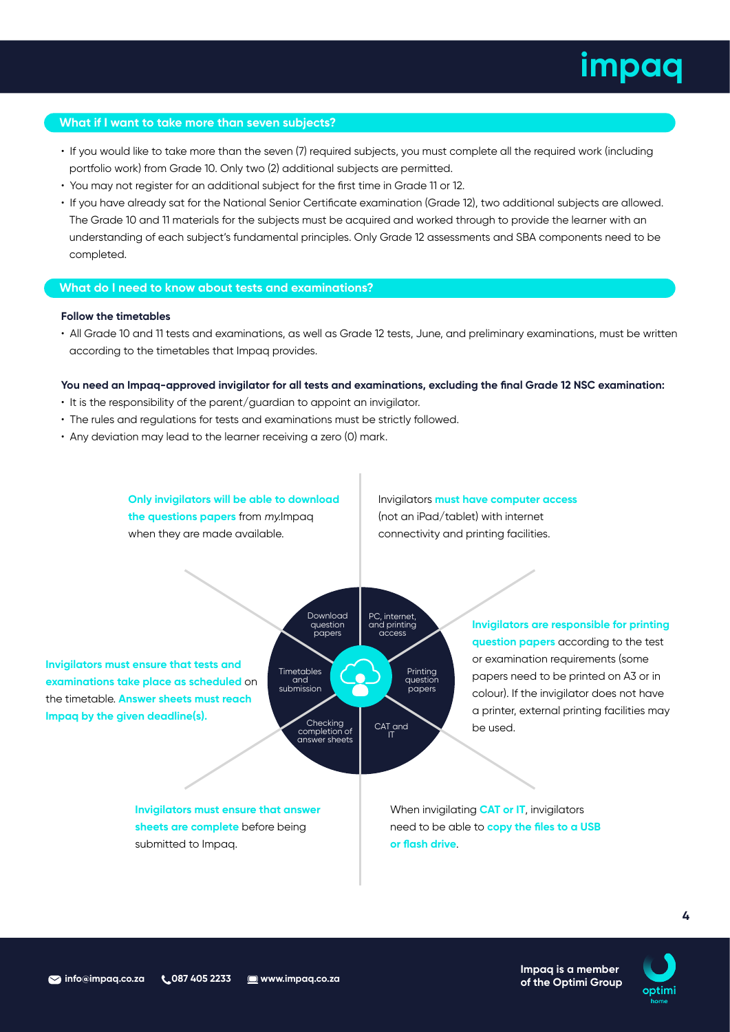#### **What if I want to take more than seven subjects?**

- If you would like to take more than the seven (7) required subjects, you must complete all the required work (including portfolio work) from Grade 10. Only two (2) additional subjects are permitted.
- You may not register for an additional subject for the first time in Grade 11 or 12.
- If you have already sat for the National Senior Certificate examination (Grade 12), two additional subjects are allowed. The Grade 10 and 11 materials for the subjects must be acquired and worked through to provide the learner with an understanding of each subject's fundamental principles. Only Grade 12 assessments and SBA components need to be completed.

#### **What do I need to know about tests and examinations?**

#### **Follow the timetables**

• All Grade 10 and 11 tests and examinations, as well as Grade 12 tests, June, and preliminary examinations, must be written according to the timetables that Impaq provides.

#### **You need an Impaq-approved invigilator for all tests and examinations, excluding the final Grade 12 NSC examination:**

- It is the responsibility of the parent/guardian to appoint an invigilator.
- The rules and regulations for tests and examinations must be strictly followed.
- Any deviation may lead to the learner receiving a zero (0) mark.

**Only invigilators will be able to download the questions papers** from my.Impaq when they are made available.

Invigilators **must have computer access** (not an iPad/tablet) with internet connectivity and printing facilities.

> Printing question papers

**Invigilators must ensure that tests and examinations take place as scheduled** on the timetable. **Answer sheets must reach Impaq by the given deadline(s).**

Download question papers PC, internet and printing<br>access CAT and IT Checking completion of answer sheets Timetables and submission

**Invigilators are responsible for printing question papers** according to the test or examination requirements (some papers need to be printed on A3 or in colour). If the invigilator does not have a printer, external printing facilities may be used.

**Invigilators must ensure that answer sheets are complete** before being submitted to Impaq.

When invigilating **CAT or IT**, invigilators need to be able to **copy the files to a USB or flash drive**.



**4**

**of the Optimi Group**